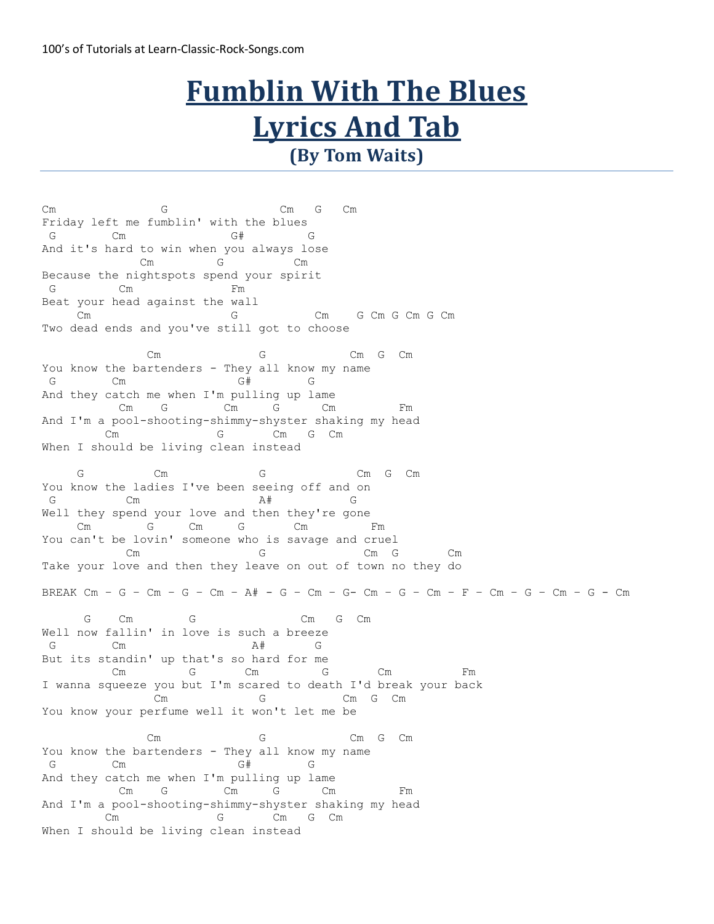## **Fumblin With The Blues Lyrics And Tab (By Tom Waits)**

Cm G Cm G Cm Friday left me fumblin' with the blues G Cm G# G And it's hard to win when you always lose Cm G Cm Because the nightspots spend your spirit G Cm Fm Beat your head against the wall Cm G Cm G Cm G Cm G Cm Two dead ends and you've still got to choose Cm G Cm G Cm You know the bartenders - They all know my name G Cm G# G And they catch me when I'm pulling up lame Cm G Cm G Cm Fm And I'm a pool-shooting-shimmy-shyster shaking my head Cm G Cm G Cm When I should be living clean instead G Cm G Cm G Cm G Cm You know the ladies I've been seeing off and on G  $\qquad \qquad \text{Cm}$   $\qquad \qquad \text{A}\#$  G  $\qquad \qquad$ Well they spend your love and then they're gone Cm G Cm G Cm Fm You can't be lovin' someone who is savage and cruel Cm G Cm G Cm G Cm Take your love and then they leave on out of town no they do BREAK Cm – G – Cm – G – Cm – A# - G – Cm – G- Cm – G – Cm – F – Cm – G – Cm – G - Cm G Cm G Cm G Cm Well now fallin' in love is such a breeze G Cm A# G But its standin' up that's so hard for me Cm G Cm G Cm Fm I wanna squeeze you but I'm scared to death I'd break your back Cm G Cm G Cm You know your perfume well it won't let me be Cm G Cm G Cm You know the bartenders - They all know my name G  $\hbox{cm}$  G# G And they catch me when I'm pulling up lame Cm G Cm G Cm Fm And I'm a pool-shooting-shimmy-shyster shaking my head Cm G Cm G Cm When I should be living clean instead